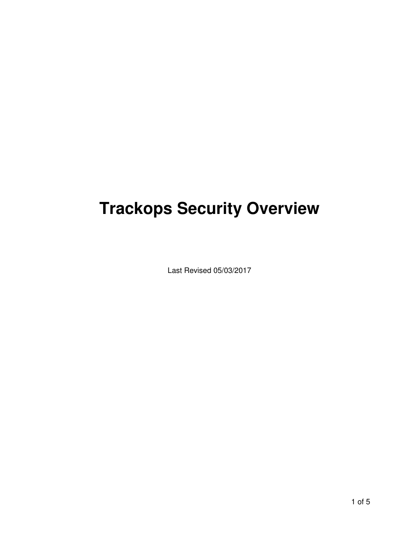# **Trackops Security Overview**

Last Revised 05/03/2017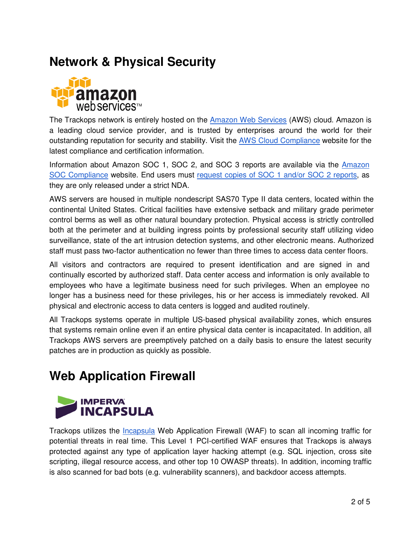### **Network & Physical Security**



The Trackops network is entirely hosted on the Amazon Web Services (AWS) cloud. Amazon is a leading cloud service provider, and is trusted by enterprises around the world for their outstanding reputation for security and stability. Visit the AWS Cloud Compliance website for the latest compliance and certification information.

Information about Amazon SOC 1, SOC 2, and SOC 3 reports are available via the Amazon SOC Compliance website. End users must request copies of SOC 1 and/or SOC 2 reports, as they are only released under a strict NDA.

AWS servers are housed in multiple nondescript SAS70 Type II data centers, located within the continental United States. Critical facilities have extensive setback and military grade perimeter control berms as well as other natural boundary protection. Physical access is strictly controlled both at the perimeter and at building ingress points by professional security staff utilizing video surveillance, state of the art intrusion detection systems, and other electronic means. Authorized staff must pass two-factor authentication no fewer than three times to access data center floors.

All visitors and contractors are required to present identification and are signed in and continually escorted by authorized staff. Data center access and information is only available to employees who have a legitimate business need for such privileges. When an employee no longer has a business need for these privileges, his or her access is immediately revoked. All physical and electronic access to data centers is logged and audited routinely.

All Trackops systems operate in multiple US-based physical availability zones, which ensures that systems remain online even if an entire physical data center is incapacitated. In addition, all Trackops AWS servers are preemptively patched on a daily basis to ensure the latest security patches are in production as quickly as possible.

### **Web Application Firewall**



Trackops utilizes the Incapsula Web Application Firewall (WAF) to scan all incoming traffic for potential threats in real time. This Level 1 PCI-certified WAF ensures that Trackops is always protected against any type of application layer hacking attempt (e.g. SQL injection, cross site scripting, illegal resource access, and other top 10 OWASP threats). In addition, incoming traffic is also scanned for bad bots (e.g. vulnerability scanners), and backdoor access attempts.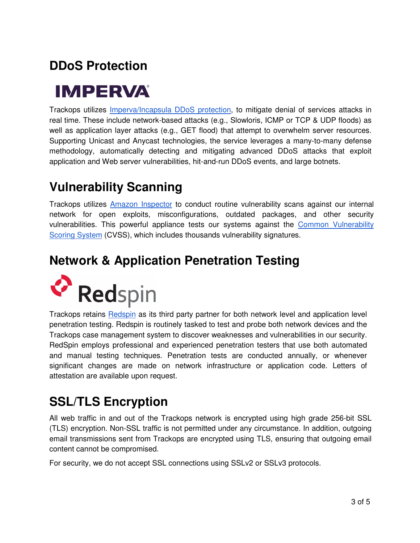# **DDoS Protection**

# **IMPERVA**

Trackops utilizes Imperva/Incapsula DDoS protection, to mitigate denial of services attacks in real time. These include network-based attacks (e.g., Slowloris, ICMP or TCP & UDP floods) as well as application layer attacks (e.g., GET flood) that attempt to overwhelm server resources. Supporting Unicast and Anycast technologies, the service leverages a many-to-many defense methodology, automatically detecting and mitigating advanced DDoS attacks that exploit application and Web server vulnerabilities, hit-and-run DDoS events, and large botnets.

## **Vulnerability Scanning**

Trackops utilizes Amazon Inspector to conduct routine vulnerability scans against our internal network for open exploits, misconfigurations, outdated packages, and other security vulnerabilities. This powerful appliance tests our systems against the Common Vulnerability Scoring System (CVSS), which includes thousands vulnerability signatures.

### **Network & Application Penetration Testing**



Trackops retains Redspin as its third party partner for both network level and application level penetration testing. Redspin is routinely tasked to test and probe both network devices and the Trackops case management system to discover weaknesses and vulnerabilities in our security. RedSpin employs professional and experienced penetration testers that use both automated and manual testing techniques. Penetration tests are conducted annually, or whenever significant changes are made on network infrastructure or application code. Letters of attestation are available upon request.

### **SSL/TLS Encryption**

All web traffic in and out of the Trackops network is encrypted using high grade 256-bit SSL (TLS) encryption. Non-SSL traffic is not permitted under any circumstance. In addition, outgoing email transmissions sent from Trackops are encrypted using TLS, ensuring that outgoing email content cannot be compromised.

For security, we do not accept SSL connections using SSLv2 or SSLv3 protocols.